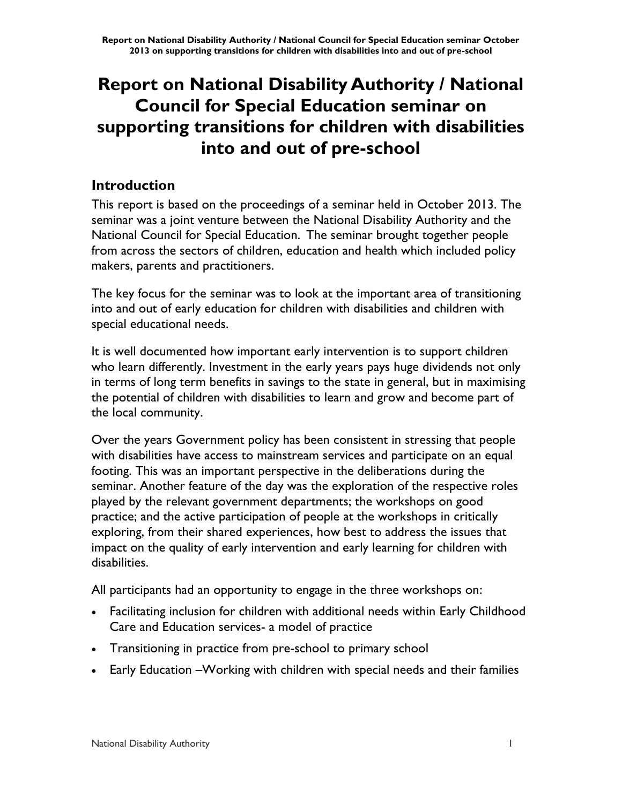# **Report on National Disability Authority / National Council for Special Education seminar on supporting transitions for children with disabilities into and out of pre-school**

# **Introduction**

This report is based on the proceedings of a seminar held in October 2013. The seminar was a joint venture between the National Disability Authority and the National Council for Special Education. The seminar brought together people from across the sectors of children, education and health which included policy makers, parents and practitioners.

The key focus for the seminar was to look at the important area of transitioning into and out of early education for children with disabilities and children with special educational needs.

It is well documented how important early intervention is to support children who learn differently. Investment in the early years pays huge dividends not only in terms of long term benefits in savings to the state in general, but in maximising the potential of children with disabilities to learn and grow and become part of the local community.

Over the years Government policy has been consistent in stressing that people with disabilities have access to mainstream services and participate on an equal footing. This was an important perspective in the deliberations during the seminar. Another feature of the day was the exploration of the respective roles played by the relevant government departments; the workshops on good practice; and the active participation of people at the workshops in critically exploring, from their shared experiences, how best to address the issues that impact on the quality of early intervention and early learning for children with disabilities.

All participants had an opportunity to engage in the three workshops on:

- Facilitating inclusion for children with additional needs within Early Childhood Care and Education services- a model of practice
- Transitioning in practice from pre-school to primary school
- Early Education –Working with children with special needs and their families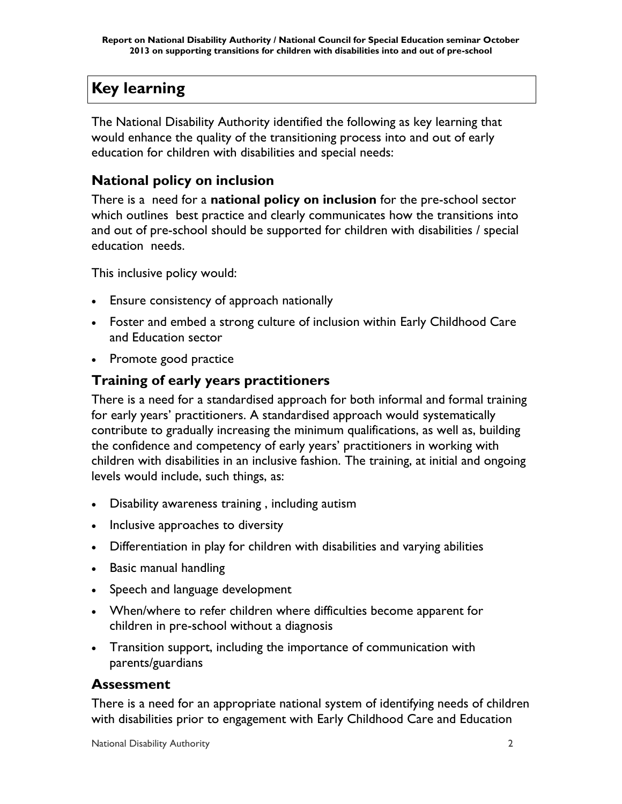# **Key learning**

The National Disability Authority identified the following as key learning that would enhance the quality of the transitioning process into and out of early education for children with disabilities and special needs:

# **National policy on inclusion**

There is a need for a **national policy on inclusion** for the pre-school sector which outlines best practice and clearly communicates how the transitions into and out of pre-school should be supported for children with disabilities / special education needs.

This inclusive policy would:

- Ensure consistency of approach nationally
- Foster and embed a strong culture of inclusion within Early Childhood Care and Education sector
- Promote good practice

# **Training of early years practitioners**

There is a need for a standardised approach for both informal and formal training for early years' practitioners. A standardised approach would systematically contribute to gradually increasing the minimum qualifications, as well as, building the confidence and competency of early years' practitioners in working with children with disabilities in an inclusive fashion. The training, at initial and ongoing levels would include, such things, as:

- Disability awareness training , including autism
- Inclusive approaches to diversity
- Differentiation in play for children with disabilities and varying abilities
- Basic manual handling
- Speech and language development
- When/where to refer children where difficulties become apparent for children in pre-school without a diagnosis
- Transition support, including the importance of communication with parents/guardians

# **Assessment**

There is a need for an appropriate national system of identifying needs of children with disabilities prior to engagement with Early Childhood Care and Education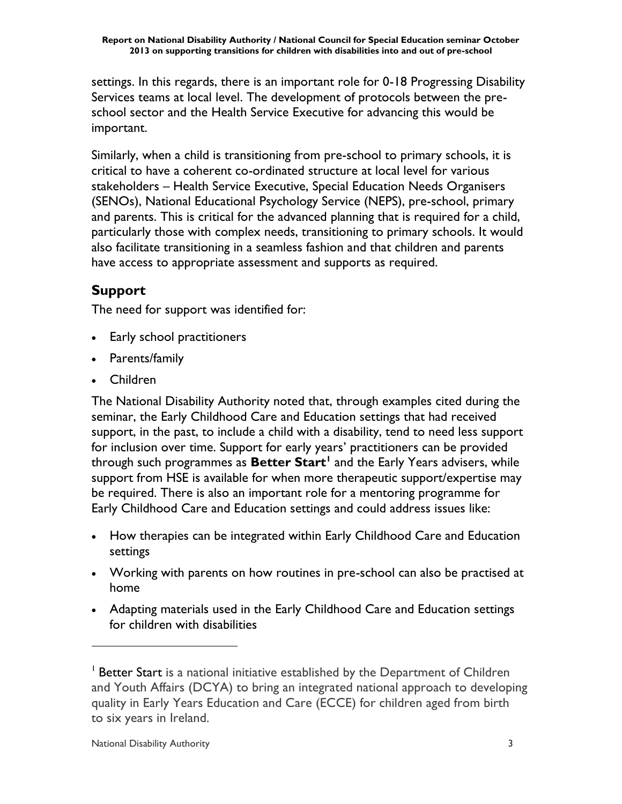settings. In this regards, there is an important role for 0-18 Progressing Disability Services teams at local level. The development of protocols between the preschool sector and the Health Service Executive for advancing this would be important.

Similarly, when a child is transitioning from pre-school to primary schools, it is critical to have a coherent co-ordinated structure at local level for various stakeholders – Health Service Executive, Special Education Needs Organisers (SENOs), National Educational Psychology Service (NEPS), pre-school, primary and parents. This is critical for the advanced planning that is required for a child, particularly those with complex needs, transitioning to primary schools. It would also facilitate transitioning in a seamless fashion and that children and parents have access to appropriate assessment and supports as required.

# **Support**

The need for support was identified for:

- Early school practitioners
- Parents/family
- Children

The National Disability Authority noted that, through examples cited during the seminar, the Early Childhood Care and Education settings that had received support, in the past, to include a child with a disability, tend to need less support for inclusion over time. Support for early years' practitioners can be provided through such programmes as **Better Start<sup>1</sup>** and the Early Years advisers, while support from HSE is available for when more therapeutic support/expertise may be required. There is also an important role for a mentoring programme for Early Childhood Care and Education settings and could address issues like:

- How therapies can be integrated within Early Childhood Care and Education settings
- Working with parents on how routines in pre-school can also be practised at home
- Adapting materials used in the Early Childhood Care and Education settings for children with disabilities

 $\overline{a}$ 

<sup>&</sup>lt;sup>1</sup> Better Start is a national initiative established by the Department of Children and Youth Affairs (DCYA) to bring an integrated national approach to developing quality in Early Years Education and Care (ECCE) for children aged from birth to six years in Ireland.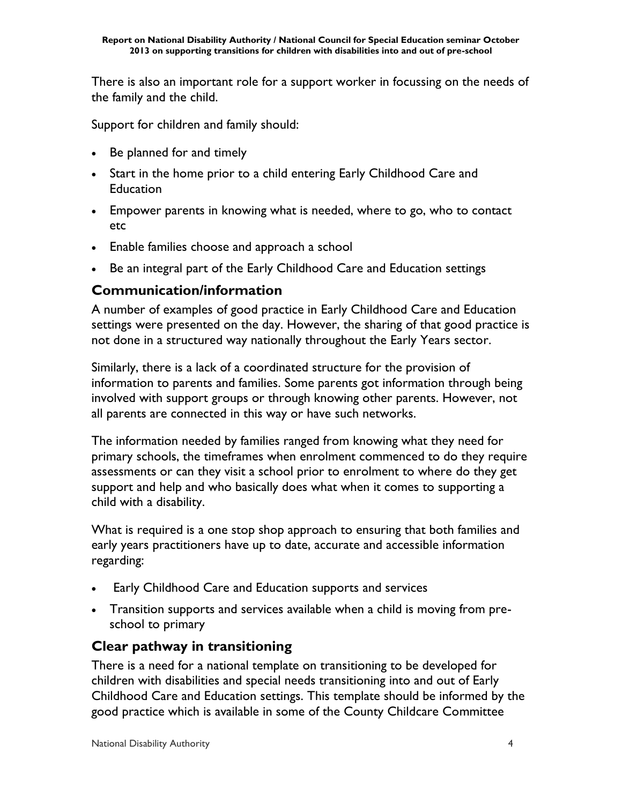There is also an important role for a support worker in focussing on the needs of the family and the child.

Support for children and family should:

- Be planned for and timely
- Start in the home prior to a child entering Early Childhood Care and **Education**
- Empower parents in knowing what is needed, where to go, who to contact etc
- Enable families choose and approach a school
- Be an integral part of the Early Childhood Care and Education settings

### **Communication/information**

A number of examples of good practice in Early Childhood Care and Education settings were presented on the day. However, the sharing of that good practice is not done in a structured way nationally throughout the Early Years sector.

Similarly, there is a lack of a coordinated structure for the provision of information to parents and families. Some parents got information through being involved with support groups or through knowing other parents. However, not all parents are connected in this way or have such networks.

The information needed by families ranged from knowing what they need for primary schools, the timeframes when enrolment commenced to do they require assessments or can they visit a school prior to enrolment to where do they get support and help and who basically does what when it comes to supporting a child with a disability.

What is required is a one stop shop approach to ensuring that both families and early years practitioners have up to date, accurate and accessible information regarding:

- Early Childhood Care and Education supports and services
- Transition supports and services available when a child is moving from preschool to primary

# **Clear pathway in transitioning**

There is a need for a national template on transitioning to be developed for children with disabilities and special needs transitioning into and out of Early Childhood Care and Education settings. This template should be informed by the good practice which is available in some of the County Childcare Committee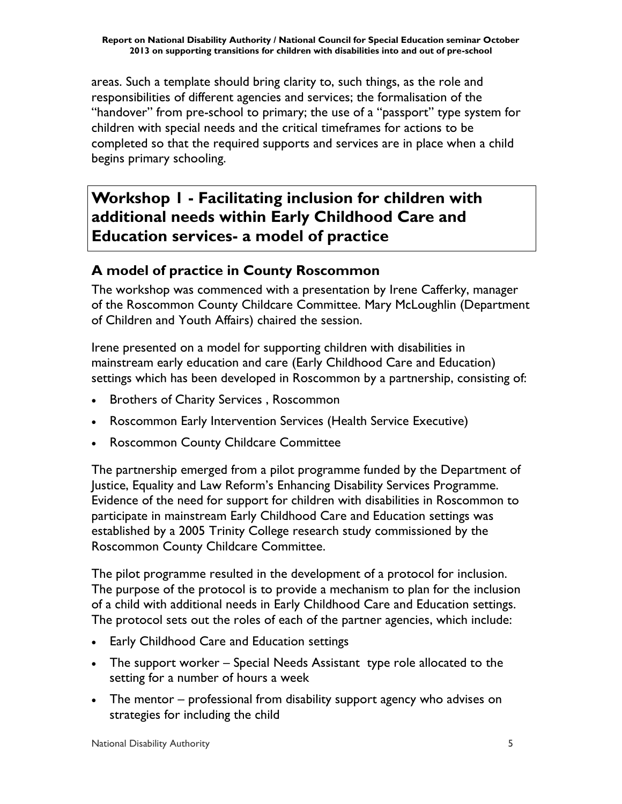areas. Such a template should bring clarity to, such things, as the role and responsibilities of different agencies and services; the formalisation of the "handover" from pre-school to primary; the use of a "passport" type system for children with special needs and the critical timeframes for actions to be completed so that the required supports and services are in place when a child begins primary schooling.

# **Workshop 1 - Facilitating inclusion for children with additional needs within Early Childhood Care and Education services- a model of practice**

# **A model of practice in County Roscommon**

The workshop was commenced with a presentation by Irene Cafferky, manager of the Roscommon County Childcare Committee. Mary McLoughlin (Department of Children and Youth Affairs) chaired the session.

Irene presented on a model for supporting children with disabilities in mainstream early education and care (Early Childhood Care and Education) settings which has been developed in Roscommon by a partnership, consisting of:

- Brothers of Charity Services, Roscommon
- Roscommon Early Intervention Services (Health Service Executive)
- Roscommon County Childcare Committee

The partnership emerged from a pilot programme funded by the Department of Justice, Equality and Law Reform's Enhancing Disability Services Programme. Evidence of the need for support for children with disabilities in Roscommon to participate in mainstream Early Childhood Care and Education settings was established by a 2005 Trinity College research study commissioned by the Roscommon County Childcare Committee.

The pilot programme resulted in the development of a protocol for inclusion. The purpose of the protocol is to provide a mechanism to plan for the inclusion of a child with additional needs in Early Childhood Care and Education settings. The protocol sets out the roles of each of the partner agencies, which include:

- Early Childhood Care and Education settings
- The support worker Special Needs Assistant type role allocated to the setting for a number of hours a week
- The mentor professional from disability support agency who advises on strategies for including the child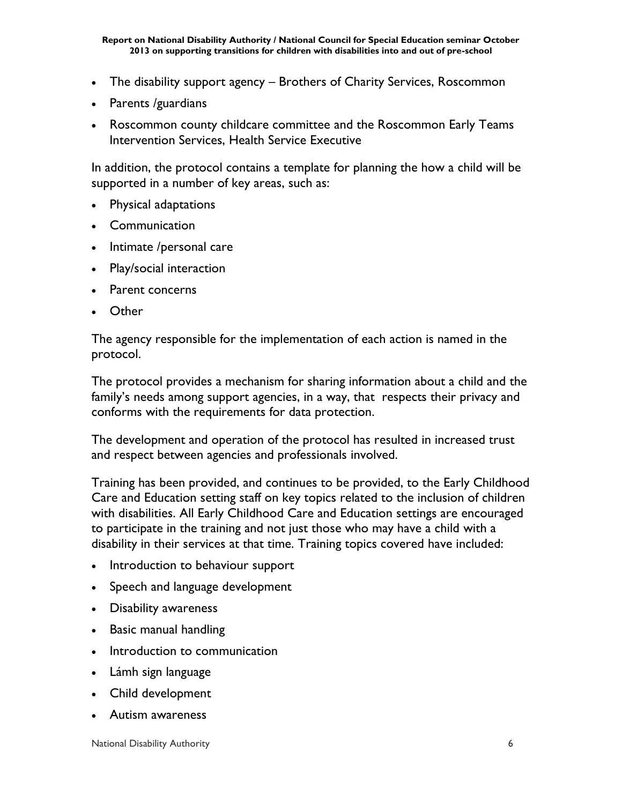- The disability support agency Brothers of Charity Services, Roscommon
- Parents /guardians
- Roscommon county childcare committee and the Roscommon Early Teams Intervention Services, Health Service Executive

In addition, the protocol contains a template for planning the how a child will be supported in a number of key areas, such as:

- Physical adaptations
- Communication
- Intimate /personal care
- Play/social interaction
- Parent concerns
- Other

The agency responsible for the implementation of each action is named in the protocol.

The protocol provides a mechanism for sharing information about a child and the family's needs among support agencies, in a way, that respects their privacy and conforms with the requirements for data protection.

The development and operation of the protocol has resulted in increased trust and respect between agencies and professionals involved.

Training has been provided, and continues to be provided, to the Early Childhood Care and Education setting staff on key topics related to the inclusion of children with disabilities. All Early Childhood Care and Education settings are encouraged to participate in the training and not just those who may have a child with a disability in their services at that time. Training topics covered have included:

- Introduction to behaviour support
- Speech and language development
- Disability awareness
- Basic manual handling
- Introduction to communication
- Lámh sign language
- Child development
- Autism awareness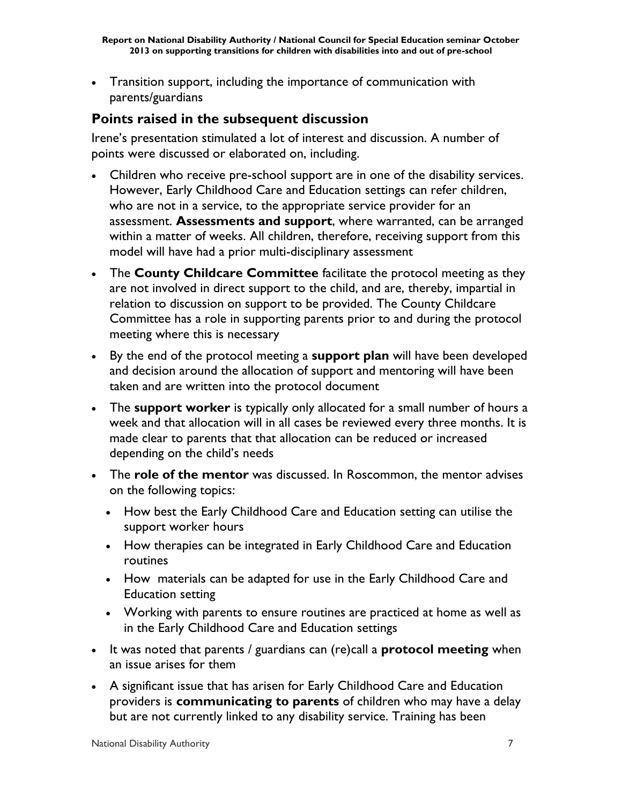Transition support, including the importance of communication with parents/guardians

# **Points raised in the subsequent discussion**

Irene's presentation stimulated a lot of interest and discussion. A number of points were discussed or elaborated on, including.

- Children who receive pre-school support are in one of the disability services. However, Early Childhood Care and Education settings can refer children, who are not in a service, to the appropriate service provider for an assessment. **Assessments and support**, where warranted, can be arranged within a matter of weeks. All children, therefore, receiving support from this model will have had a prior multi-disciplinary assessment
- The **County Childcare Committee** facilitate the protocol meeting as they are not involved in direct support to the child, and are, thereby, impartial in relation to discussion on support to be provided. The County Childcare Committee has a role in supporting parents prior to and during the protocol meeting where this is necessary
- By the end of the protocol meeting a **support plan** will have been developed and decision around the allocation of support and mentoring will have been taken and are written into the protocol document
- The **support worker** is typically only allocated for a small number of hours a week and that allocation will in all cases be reviewed every three months. It is made clear to parents that that allocation can be reduced or increased depending on the child's needs
- The **role of the mentor** was discussed. In Roscommon, the mentor advises on the following topics:
	- How best the Early Childhood Care and Education setting can utilise the support worker hours
	- How therapies can be integrated in Early Childhood Care and Education routines
	- How materials can be adapted for use in the Early Childhood Care and Education setting
	- Working with parents to ensure routines are practiced at home as well as in the Early Childhood Care and Education settings
- It was noted that parents / guardians can (re)call a **protocol meeting** when an issue arises for them
- A significant issue that has arisen for Early Childhood Care and Education providers is **communicating to parents** of children who may have a delay but are not currently linked to any disability service. Training has been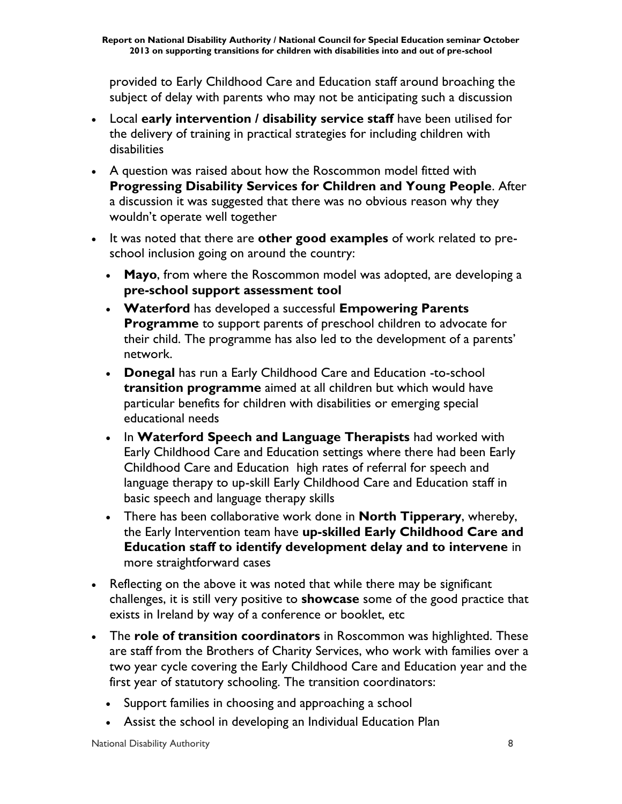provided to Early Childhood Care and Education staff around broaching the subject of delay with parents who may not be anticipating such a discussion

- Local **early intervention / disability service staff** have been utilised for the delivery of training in practical strategies for including children with disabilities
- A question was raised about how the Roscommon model fitted with **Progressing Disability Services for Children and Young People**. After a discussion it was suggested that there was no obvious reason why they wouldn't operate well together
- It was noted that there are **other good examples** of work related to preschool inclusion going on around the country:
	- **Mayo**, from where the Roscommon model was adopted, are developing a **pre-school support assessment tool**
	- **Waterford** has developed a successful **Empowering Parents Programme** to support parents of preschool children to advocate for their child. The programme has also led to the development of a parents' network.
	- **Donegal** has run a Early Childhood Care and Education -to-school **transition programme** aimed at all children but which would have particular benefits for children with disabilities or emerging special educational needs
	- **In Waterford Speech and Language Therapists** had worked with Early Childhood Care and Education settings where there had been Early Childhood Care and Education high rates of referral for speech and language therapy to up-skill Early Childhood Care and Education staff in basic speech and language therapy skills
	- There has been collaborative work done in **North Tipperary**, whereby, the Early Intervention team have **up-skilled Early Childhood Care and Education staff to identify development delay and to intervene** in more straightforward cases
- Reflecting on the above it was noted that while there may be significant challenges, it is still very positive to **showcase** some of the good practice that exists in Ireland by way of a conference or booklet, etc
- The **role of transition coordinators** in Roscommon was highlighted. These are staff from the Brothers of Charity Services, who work with families over a two year cycle covering the Early Childhood Care and Education year and the first year of statutory schooling. The transition coordinators:
	- Support families in choosing and approaching a school
	- Assist the school in developing an Individual Education Plan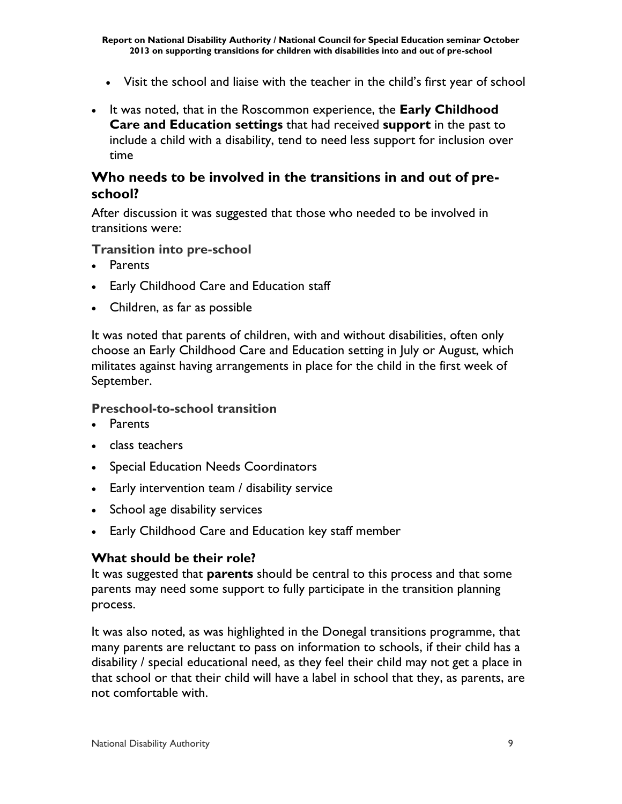- Visit the school and liaise with the teacher in the child's first year of school
- It was noted, that in the Roscommon experience, the **Early Childhood Care and Education settings** that had received **support** in the past to include a child with a disability, tend to need less support for inclusion over time

### **Who needs to be involved in the transitions in and out of preschool?**

After discussion it was suggested that those who needed to be involved in transitions were:

#### **Transition into pre-school**

- Parents
- Early Childhood Care and Education staff
- Children, as far as possible

It was noted that parents of children, with and without disabilities, often only choose an Early Childhood Care and Education setting in July or August, which militates against having arrangements in place for the child in the first week of September.

#### **Preschool-to-school transition**

- Parents
- class teachers
- Special Education Needs Coordinators
- Early intervention team / disability service
- School age disability services
- Early Childhood Care and Education key staff member

#### **What should be their role?**

It was suggested that **parents** should be central to this process and that some parents may need some support to fully participate in the transition planning process.

It was also noted, as was highlighted in the Donegal transitions programme, that many parents are reluctant to pass on information to schools, if their child has a disability / special educational need, as they feel their child may not get a place in that school or that their child will have a label in school that they, as parents, are not comfortable with.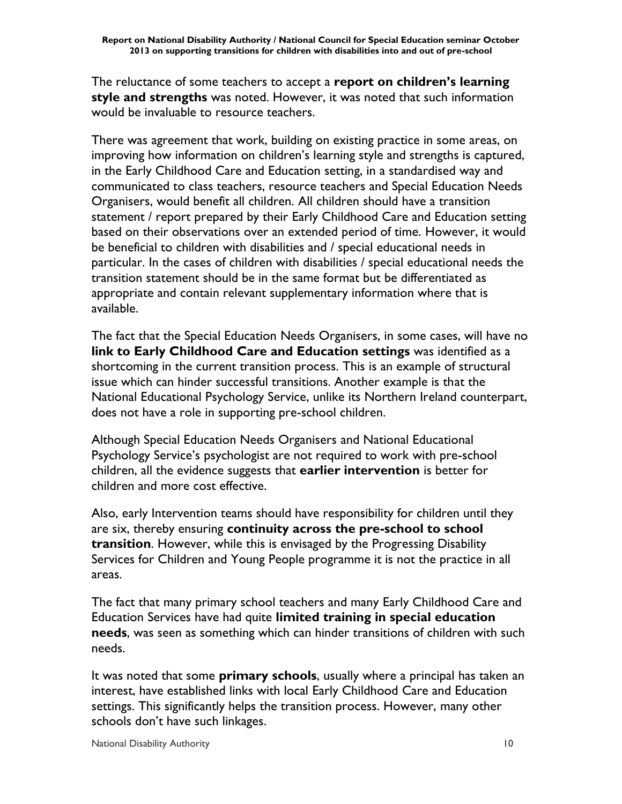The reluctance of some teachers to accept a **report on children's learning style and strengths** was noted. However, it was noted that such information would be invaluable to resource teachers.

There was agreement that work, building on existing practice in some areas, on improving how information on children's learning style and strengths is captured, in the Early Childhood Care and Education setting, in a standardised way and communicated to class teachers, resource teachers and Special Education Needs Organisers, would benefit all children. All children should have a transition statement / report prepared by their Early Childhood Care and Education setting based on their observations over an extended period of time. However, it would be beneficial to children with disabilities and / special educational needs in particular. In the cases of children with disabilities / special educational needs the transition statement should be in the same format but be differentiated as appropriate and contain relevant supplementary information where that is available.

The fact that the Special Education Needs Organisers, in some cases, will have no **link to Early Childhood Care and Education settings** was identified as a shortcoming in the current transition process. This is an example of structural issue which can hinder successful transitions. Another example is that the National Educational Psychology Service, unlike its Northern Ireland counterpart, does not have a role in supporting pre-school children.

Although Special Education Needs Organisers and National Educational Psychology Service's psychologist are not required to work with pre-school children, all the evidence suggests that **earlier intervention** is better for children and more cost effective.

Also, early Intervention teams should have responsibility for children until they are six, thereby ensuring **continuity across the pre-school to school transition**. However, while this is envisaged by the Progressing Disability Services for Children and Young People programme it is not the practice in all areas.

The fact that many primary school teachers and many Early Childhood Care and Education Services have had quite **limited training in special education needs**, was seen as something which can hinder transitions of children with such needs.

It was noted that some **primary schools**, usually where a principal has taken an interest, have established links with local Early Childhood Care and Education settings. This significantly helps the transition process. However, many other schools don't have such linkages.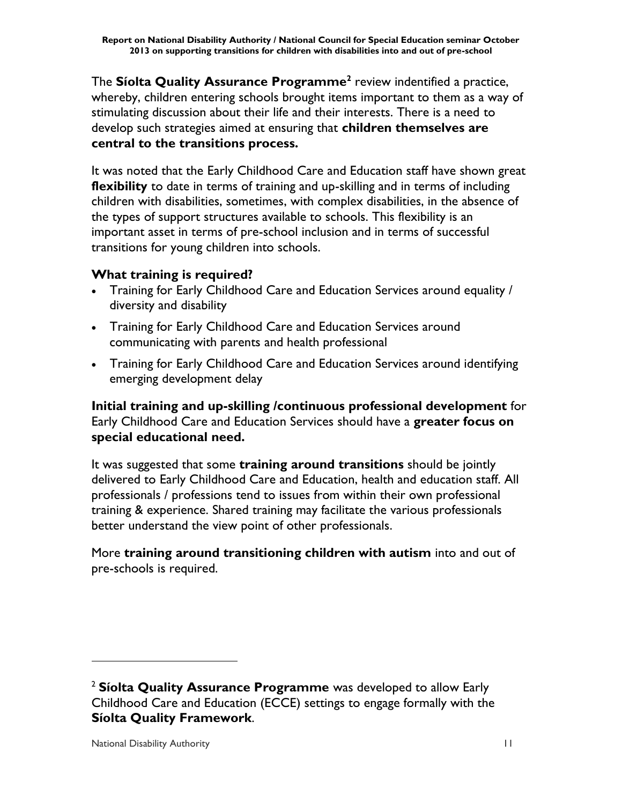The **Síolta Quality Assurance Programme<sup>2</sup>** review indentified a practice, whereby, children entering schools brought items important to them as a way of stimulating discussion about their life and their interests. There is a need to develop such strategies aimed at ensuring that **children themselves are central to the transitions process.**

It was noted that the Early Childhood Care and Education staff have shown great **flexibility** to date in terms of training and up-skilling and in terms of including children with disabilities, sometimes, with complex disabilities, in the absence of the types of support structures available to schools. This flexibility is an important asset in terms of pre-school inclusion and in terms of successful transitions for young children into schools.

# **What training is required?**

- Training for Early Childhood Care and Education Services around equality / diversity and disability
- Training for Early Childhood Care and Education Services around communicating with parents and health professional
- Training for Early Childhood Care and Education Services around identifying emerging development delay

**Initial training and up-skilling /continuous professional development** for Early Childhood Care and Education Services should have a **greater focus on special educational need.**

It was suggested that some **training around transitions** should be jointly delivered to Early Childhood Care and Education, health and education staff. All professionals / professions tend to issues from within their own professional training & experience. Shared training may facilitate the various professionals better understand the view point of other professionals.

More **training around transitioning children with autism** into and out of pre-schools is required.

 $\overline{a}$ 

<sup>2</sup> **Síolta Quality Assurance Programme** was developed to allow Early Childhood Care and Education (ECCE) settings to engage formally with the **Síolta Quality Framework**.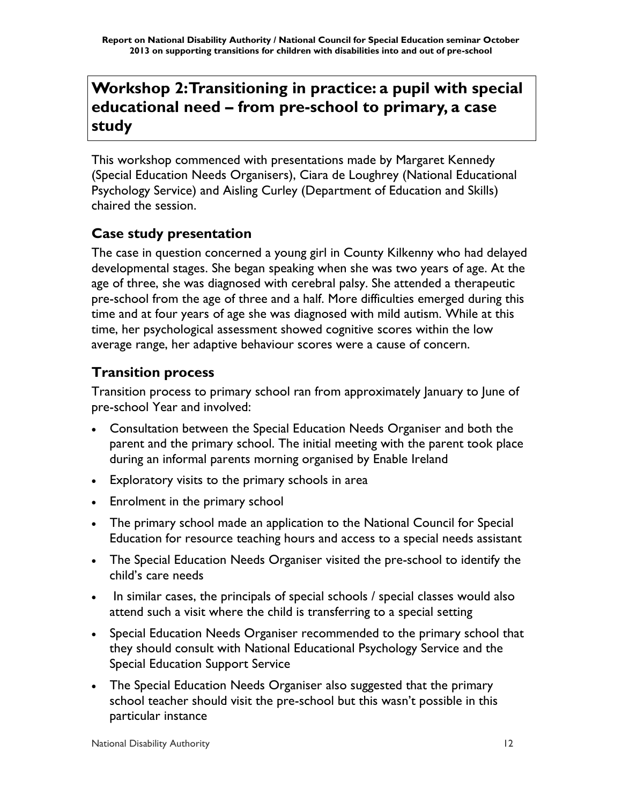# **Workshop 2: Transitioning in practice: a pupil with special educational need – from pre-school to primary, a case study**

This workshop commenced with presentations made by Margaret Kennedy (Special Education Needs Organisers), Ciara de Loughrey (National Educational Psychology Service) and Aisling Curley (Department of Education and Skills) chaired the session.

# **Case study presentation**

The case in question concerned a young girl in County Kilkenny who had delayed developmental stages. She began speaking when she was two years of age. At the age of three, she was diagnosed with cerebral palsy. She attended a therapeutic pre-school from the age of three and a half. More difficulties emerged during this time and at four years of age she was diagnosed with mild autism. While at this time, her psychological assessment showed cognitive scores within the low average range, her adaptive behaviour scores were a cause of concern.

# **Transition process**

Transition process to primary school ran from approximately January to June of pre-school Year and involved:

- Consultation between the Special Education Needs Organiser and both the parent and the primary school. The initial meeting with the parent took place during an informal parents morning organised by Enable Ireland
- Exploratory visits to the primary schools in area
- Enrolment in the primary school
- The primary school made an application to the National Council for Special Education for resource teaching hours and access to a special needs assistant
- The Special Education Needs Organiser visited the pre-school to identify the child's care needs
- In similar cases, the principals of special schools / special classes would also attend such a visit where the child is transferring to a special setting
- Special Education Needs Organiser recommended to the primary school that they should consult with National Educational Psychology Service and the Special Education Support Service
- The Special Education Needs Organiser also suggested that the primary school teacher should visit the pre-school but this wasn't possible in this particular instance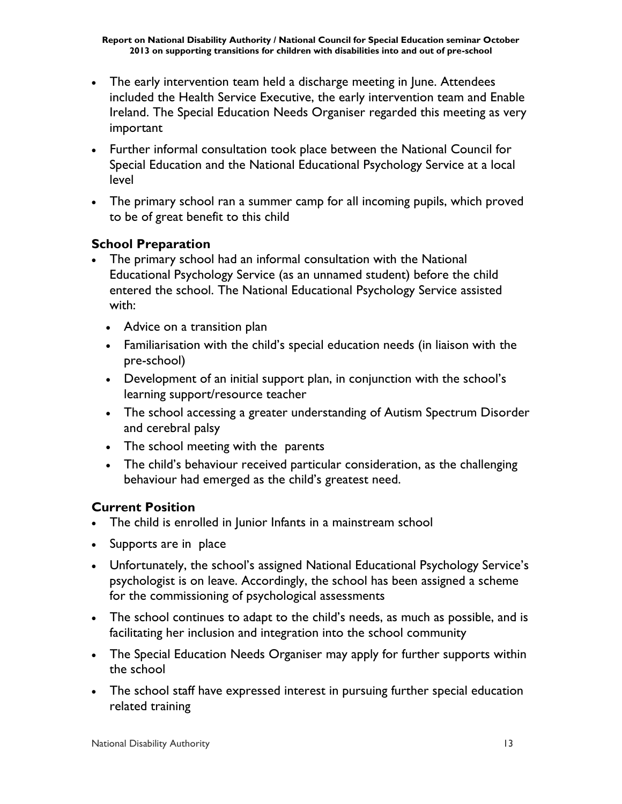- The early intervention team held a discharge meeting in June. Attendees included the Health Service Executive, the early intervention team and Enable Ireland. The Special Education Needs Organiser regarded this meeting as very important
- Further informal consultation took place between the National Council for Special Education and the National Educational Psychology Service at a local level
- The primary school ran a summer camp for all incoming pupils, which proved to be of great benefit to this child

### **School Preparation**

- The primary school had an informal consultation with the National Educational Psychology Service (as an unnamed student) before the child entered the school. The National Educational Psychology Service assisted with:
	- Advice on a transition plan
	- Familiarisation with the child's special education needs (in liaison with the pre-school)
	- Development of an initial support plan, in conjunction with the school's learning support/resource teacher
	- The school accessing a greater understanding of Autism Spectrum Disorder and cerebral palsy
	- The school meeting with the parents
	- The child's behaviour received particular consideration, as the challenging behaviour had emerged as the child's greatest need.

#### **Current Position**

- The child is enrolled in Junior Infants in a mainstream school
- Supports are in place
- Unfortunately, the school's assigned National Educational Psychology Service's psychologist is on leave. Accordingly, the school has been assigned a scheme for the commissioning of psychological assessments
- The school continues to adapt to the child's needs, as much as possible, and is facilitating her inclusion and integration into the school community
- The Special Education Needs Organiser may apply for further supports within the school
- The school staff have expressed interest in pursuing further special education related training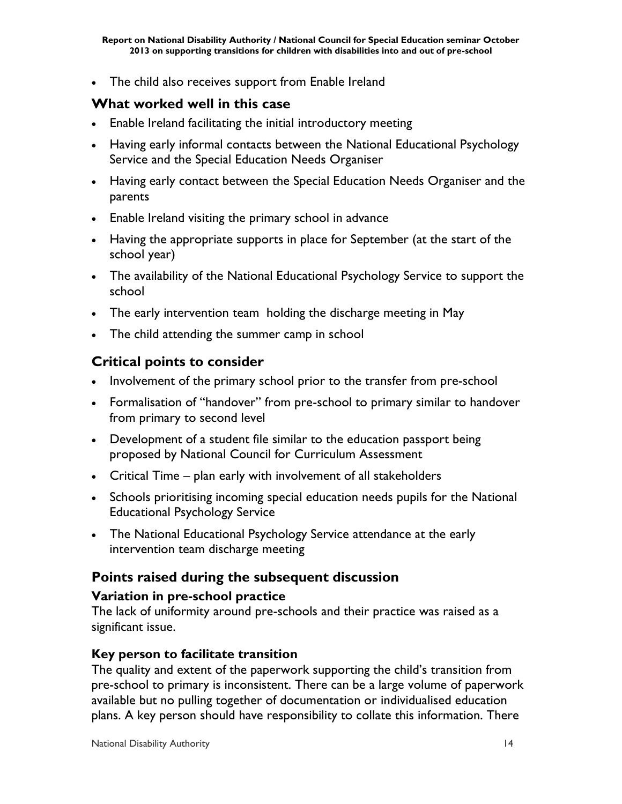• The child also receives support from Enable Ireland

# **What worked well in this case**

- Enable Ireland facilitating the initial introductory meeting
- Having early informal contacts between the National Educational Psychology Service and the Special Education Needs Organiser
- Having early contact between the Special Education Needs Organiser and the parents
- Enable Ireland visiting the primary school in advance
- Having the appropriate supports in place for September (at the start of the school year)
- The availability of the National Educational Psychology Service to support the school
- The early intervention team holding the discharge meeting in May
- The child attending the summer camp in school

# **Critical points to consider**

- Involvement of the primary school prior to the transfer from pre-school
- Formalisation of "handover" from pre-school to primary similar to handover from primary to second level
- Development of a student file similar to the education passport being proposed by National Council for Curriculum Assessment
- Critical Time plan early with involvement of all stakeholders
- Schools prioritising incoming special education needs pupils for the National Educational Psychology Service
- The National Educational Psychology Service attendance at the early intervention team discharge meeting

# **Points raised during the subsequent discussion**

#### **Variation in pre-school practice**

The lack of uniformity around pre-schools and their practice was raised as a significant issue.

#### **Key person to facilitate transition**

The quality and extent of the paperwork supporting the child's transition from pre-school to primary is inconsistent. There can be a large volume of paperwork available but no pulling together of documentation or individualised education plans. A key person should have responsibility to collate this information. There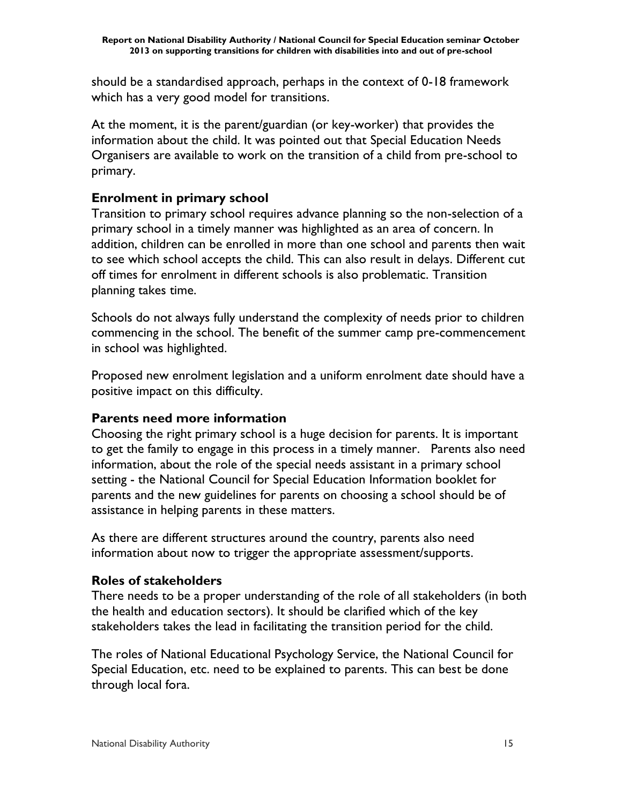should be a standardised approach, perhaps in the context of 0-18 framework which has a very good model for transitions.

At the moment, it is the parent/guardian (or key-worker) that provides the information about the child. It was pointed out that Special Education Needs Organisers are available to work on the transition of a child from pre-school to primary.

#### **Enrolment in primary school**

Transition to primary school requires advance planning so the non-selection of a primary school in a timely manner was highlighted as an area of concern. In addition, children can be enrolled in more than one school and parents then wait to see which school accepts the child. This can also result in delays. Different cut off times for enrolment in different schools is also problematic. Transition planning takes time.

Schools do not always fully understand the complexity of needs prior to children commencing in the school. The benefit of the summer camp pre-commencement in school was highlighted.

Proposed new enrolment legislation and a uniform enrolment date should have a positive impact on this difficulty.

#### **Parents need more information**

Choosing the right primary school is a huge decision for parents. It is important to get the family to engage in this process in a timely manner. Parents also need information, about the role of the special needs assistant in a primary school setting - the National Council for Special Education Information booklet for parents and the new guidelines for parents on choosing a school should be of assistance in helping parents in these matters.

As there are different structures around the country, parents also need information about now to trigger the appropriate assessment/supports.

# **Roles of stakeholders**

There needs to be a proper understanding of the role of all stakeholders (in both the health and education sectors). It should be clarified which of the key stakeholders takes the lead in facilitating the transition period for the child.

The roles of National Educational Psychology Service, the National Council for Special Education, etc. need to be explained to parents. This can best be done through local fora.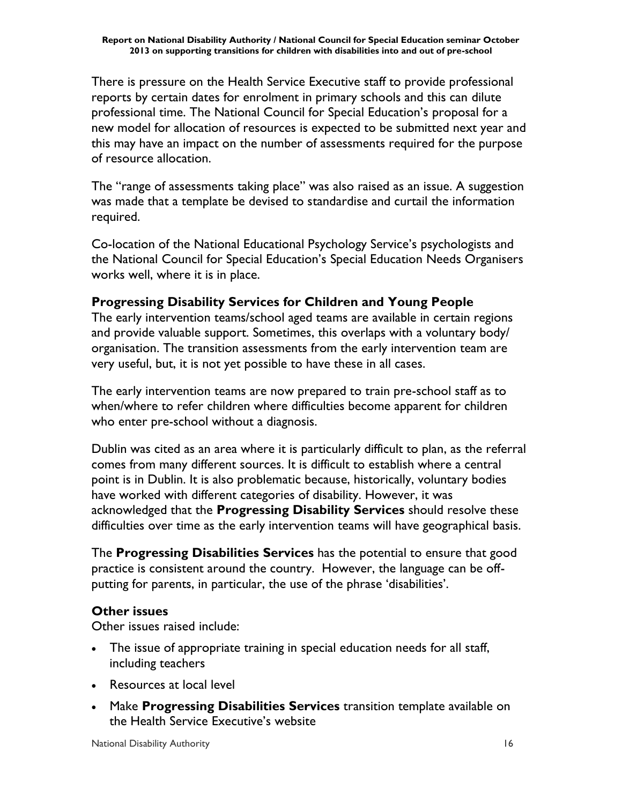There is pressure on the Health Service Executive staff to provide professional reports by certain dates for enrolment in primary schools and this can dilute professional time. The National Council for Special Education's proposal for a new model for allocation of resources is expected to be submitted next year and this may have an impact on the number of assessments required for the purpose of resource allocation.

The "range of assessments taking place" was also raised as an issue. A suggestion was made that a template be devised to standardise and curtail the information required.

Co-location of the National Educational Psychology Service's psychologists and the National Council for Special Education's Special Education Needs Organisers works well, where it is in place.

#### **Progressing Disability Services for Children and Young People**

The early intervention teams/school aged teams are available in certain regions and provide valuable support. Sometimes, this overlaps with a voluntary body/ organisation. The transition assessments from the early intervention team are very useful, but, it is not yet possible to have these in all cases.

The early intervention teams are now prepared to train pre-school staff as to when/where to refer children where difficulties become apparent for children who enter pre-school without a diagnosis.

Dublin was cited as an area where it is particularly difficult to plan, as the referral comes from many different sources. It is difficult to establish where a central point is in Dublin. It is also problematic because, historically, voluntary bodies have worked with different categories of disability. However, it was acknowledged that the **Progressing Disability Services** should resolve these difficulties over time as the early intervention teams will have geographical basis.

The **Progressing Disabilities Services** has the potential to ensure that good practice is consistent around the country. However, the language can be offputting for parents, in particular, the use of the phrase 'disabilities'.

#### **Other issues**

Other issues raised include:

- The issue of appropriate training in special education needs for all staff, including teachers
- Resources at local level
- Make **Progressing Disabilities Services** transition template available on the Health Service Executive's website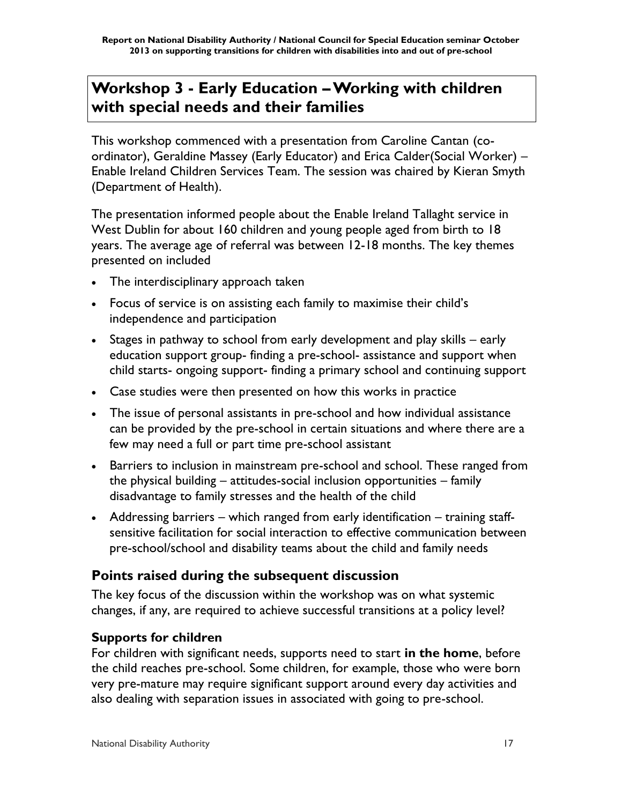# **Workshop 3 - Early Education –Working with children with special needs and their families**

This workshop commenced with a presentation from Caroline Cantan (coordinator), Geraldine Massey (Early Educator) and Erica Calder(Social Worker) – Enable Ireland Children Services Team. The session was chaired by Kieran Smyth (Department of Health).

The presentation informed people about the Enable Ireland Tallaght service in West Dublin for about 160 children and young people aged from birth to 18 years. The average age of referral was between 12-18 months. The key themes presented on included

- The interdisciplinary approach taken
- Focus of service is on assisting each family to maximise their child's independence and participation
- Stages in pathway to school from early development and play skills early education support group- finding a pre-school- assistance and support when child starts- ongoing support- finding a primary school and continuing support
- Case studies were then presented on how this works in practice
- The issue of personal assistants in pre-school and how individual assistance can be provided by the pre-school in certain situations and where there are a few may need a full or part time pre-school assistant
- Barriers to inclusion in mainstream pre-school and school. These ranged from the physical building – attitudes-social inclusion opportunities – family disadvantage to family stresses and the health of the child
- Addressing barriers which ranged from early identification training staffsensitive facilitation for social interaction to effective communication between pre-school/school and disability teams about the child and family needs

# **Points raised during the subsequent discussion**

The key focus of the discussion within the workshop was on what systemic changes, if any, are required to achieve successful transitions at a policy level?

#### **Supports for children**

For children with significant needs, supports need to start **in the home**, before the child reaches pre-school. Some children, for example, those who were born very pre-mature may require significant support around every day activities and also dealing with separation issues in associated with going to pre-school.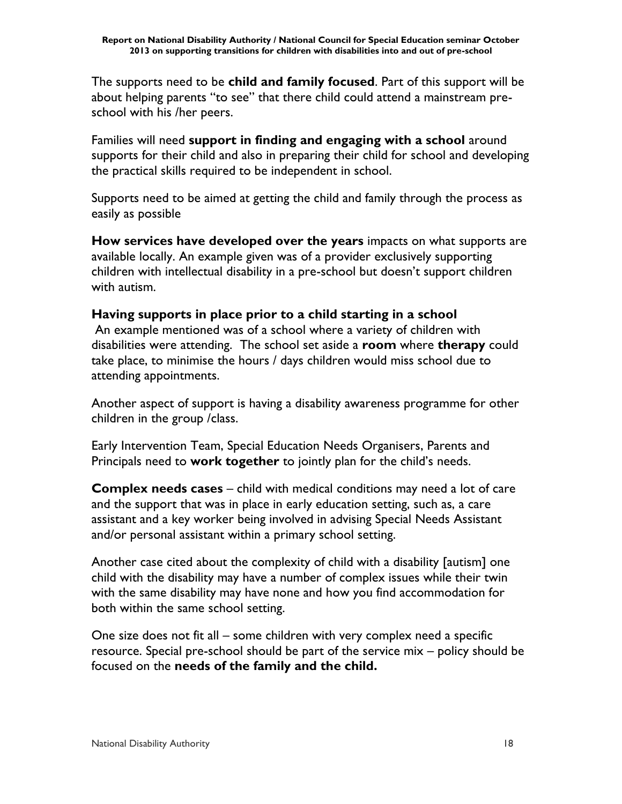The supports need to be **child and family focused**. Part of this support will be about helping parents "to see" that there child could attend a mainstream preschool with his /her peers.

Families will need **support in finding and engaging with a school** around supports for their child and also in preparing their child for school and developing the practical skills required to be independent in school.

Supports need to be aimed at getting the child and family through the process as easily as possible

**How services have developed over the years** impacts on what supports are available locally. An example given was of a provider exclusively supporting children with intellectual disability in a pre-school but doesn't support children with autism.

#### **Having supports in place prior to a child starting in a school**

An example mentioned was of a school where a variety of children with disabilities were attending. The school set aside a **room** where **therapy** could take place, to minimise the hours / days children would miss school due to attending appointments.

Another aspect of support is having a disability awareness programme for other children in the group /class.

Early Intervention Team, Special Education Needs Organisers, Parents and Principals need to **work together** to jointly plan for the child's needs.

**Complex needs cases** – child with medical conditions may need a lot of care and the support that was in place in early education setting, such as, a care assistant and a key worker being involved in advising Special Needs Assistant and/or personal assistant within a primary school setting.

Another case cited about the complexity of child with a disability [autism] one child with the disability may have a number of complex issues while their twin with the same disability may have none and how you find accommodation for both within the same school setting.

One size does not fit all – some children with very complex need a specific resource. Special pre-school should be part of the service mix – policy should be focused on the **needs of the family and the child.**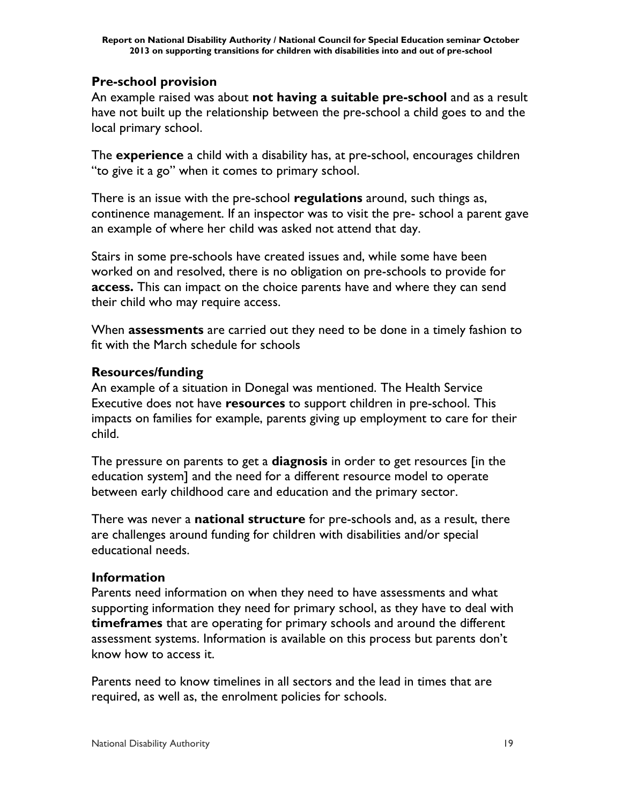### **Pre-school provision**

An example raised was about **not having a suitable pre-school** and as a result have not built up the relationship between the pre-school a child goes to and the local primary school.

The **experience** a child with a disability has, at pre-school, encourages children "to give it a go" when it comes to primary school.

There is an issue with the pre-school **regulations** around, such things as, continence management. If an inspector was to visit the pre- school a parent gave an example of where her child was asked not attend that day.

Stairs in some pre-schools have created issues and, while some have been worked on and resolved, there is no obligation on pre-schools to provide for **access.** This can impact on the choice parents have and where they can send their child who may require access.

When **assessments** are carried out they need to be done in a timely fashion to fit with the March schedule for schools

#### **Resources/funding**

An example of a situation in Donegal was mentioned. The Health Service Executive does not have **resources** to support children in pre-school. This impacts on families for example, parents giving up employment to care for their child.

The pressure on parents to get a **diagnosis** in order to get resources [in the education system] and the need for a different resource model to operate between early childhood care and education and the primary sector.

There was never a **national structure** for pre-schools and, as a result, there are challenges around funding for children with disabilities and/or special educational needs.

#### **Information**

Parents need information on when they need to have assessments and what supporting information they need for primary school, as they have to deal with **timeframes** that are operating for primary schools and around the different assessment systems. Information is available on this process but parents don't know how to access it.

Parents need to know timelines in all sectors and the lead in times that are required, as well as, the enrolment policies for schools.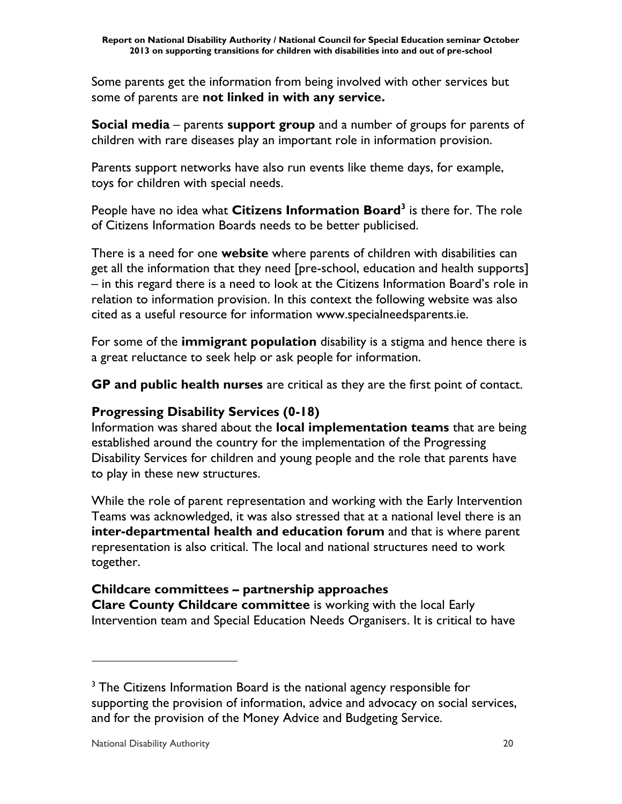Some parents get the information from being involved with other services but some of parents are **not linked in with any service.**

**Social media** – parents **support group** and a number of groups for parents of children with rare diseases play an important role in information provision.

Parents support networks have also run events like theme days, for example, toys for children with special needs.

People have no idea what **Citizens Information Board<sup>3</sup>** is there for. The role of Citizens Information Boards needs to be better publicised.

There is a need for one **website** where parents of children with disabilities can get all the information that they need [pre-school, education and health supports] – in this regard there is a need to look at the Citizens Information Board's role in relation to information provision. In this context the following website was also cited as a useful resource for information www.specialneedsparents.ie.

For some of the **immigrant population** disability is a stigma and hence there is a great reluctance to seek help or ask people for information.

**GP and public health nurses** are critical as they are the first point of contact.

# **Progressing Disability Services (0-18)**

Information was shared about the **local implementation teams** that are being established around the country for the implementation of the Progressing Disability Services for children and young people and the role that parents have to play in these new structures.

While the role of parent representation and working with the Early Intervention Teams was acknowledged, it was also stressed that at a national level there is an **inter-departmental health and education forum** and that is where parent representation is also critical. The local and national structures need to work together.

# **Childcare committees – partnership approaches**

**Clare County Childcare committee** is working with the local Early Intervention team and Special Education Needs Organisers. It is critical to have

 $\overline{a}$ 

<sup>&</sup>lt;sup>3</sup> The Citizens Information Board is the national agency responsible for supporting the provision of information, advice and advocacy on social services, and for the provision of the Money Advice and Budgeting Service.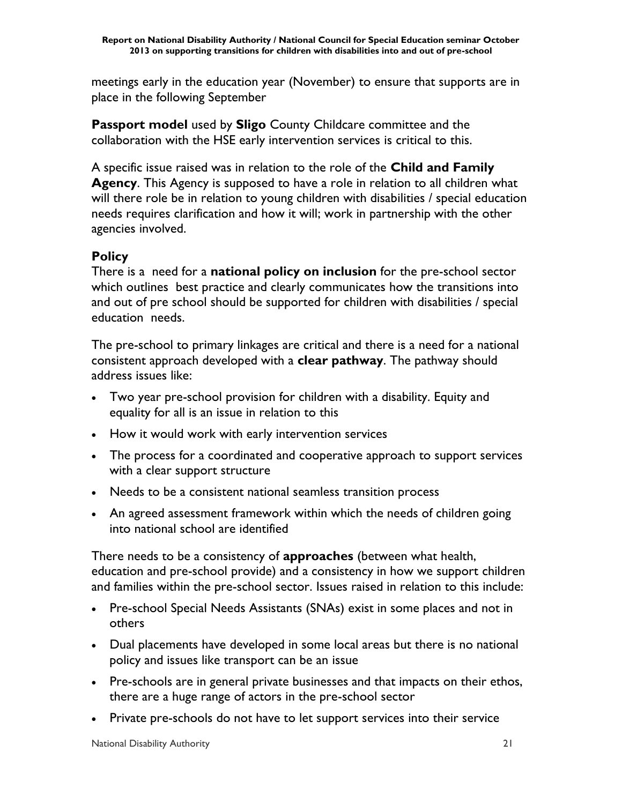meetings early in the education year (November) to ensure that supports are in place in the following September

**Passport model** used by **Sligo** County Childcare committee and the collaboration with the HSE early intervention services is critical to this.

A specific issue raised was in relation to the role of the **Child and Family Agency**. This Agency is supposed to have a role in relation to all children what will there role be in relation to young children with disabilities / special education needs requires clarification and how it will; work in partnership with the other agencies involved.

#### **Policy**

There is a need for a **national policy on inclusion** for the pre-school sector which outlines best practice and clearly communicates how the transitions into and out of pre school should be supported for children with disabilities / special education needs.

The pre-school to primary linkages are critical and there is a need for a national consistent approach developed with a **clear pathway**. The pathway should address issues like:

- Two year pre-school provision for children with a disability. Equity and equality for all is an issue in relation to this
- How it would work with early intervention services
- The process for a coordinated and cooperative approach to support services with a clear support structure
- Needs to be a consistent national seamless transition process
- An agreed assessment framework within which the needs of children going into national school are identified

There needs to be a consistency of **approaches** (between what health, education and pre-school provide) and a consistency in how we support children and families within the pre-school sector. Issues raised in relation to this include:

- Pre-school Special Needs Assistants (SNAs) exist in some places and not in others
- Dual placements have developed in some local areas but there is no national policy and issues like transport can be an issue
- Pre-schools are in general private businesses and that impacts on their ethos, there are a huge range of actors in the pre-school sector
- Private pre-schools do not have to let support services into their service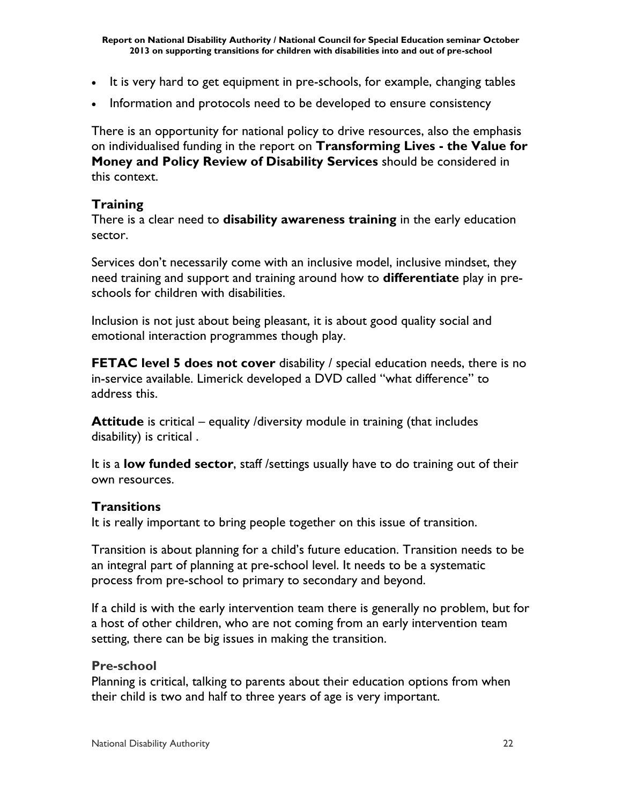- It is very hard to get equipment in pre-schools, for example, changing tables
- Information and protocols need to be developed to ensure consistency

There is an opportunity for national policy to drive resources, also the emphasis on individualised funding in the report on **Transforming Lives - the Value for Money and Policy Review of Disability Services** should be considered in this context.

#### **Training**

There is a clear need to **disability awareness training** in the early education sector.

Services don't necessarily come with an inclusive model, inclusive mindset, they need training and support and training around how to **differentiate** play in preschools for children with disabilities.

Inclusion is not just about being pleasant, it is about good quality social and emotional interaction programmes though play.

**FETAC level 5 does not cover** disability / special education needs, there is no in-service available. Limerick developed a DVD called "what difference" to address this.

**Attitude** is critical – equality /diversity module in training (that includes disability) is critical .

It is a **low funded sector**, staff /settings usually have to do training out of their own resources.

#### **Transitions**

It is really important to bring people together on this issue of transition.

Transition is about planning for a child's future education. Transition needs to be an integral part of planning at pre-school level. It needs to be a systematic process from pre-school to primary to secondary and beyond.

If a child is with the early intervention team there is generally no problem, but for a host of other children, who are not coming from an early intervention team setting, there can be big issues in making the transition.

#### **Pre-school**

Planning is critical, talking to parents about their education options from when their child is two and half to three years of age is very important.